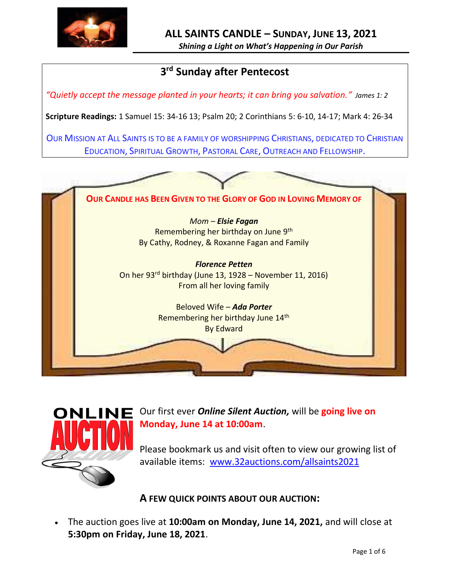

*Shining a Light on What's Happening in Our Parish*

# **3 rd Sunday after Pentecost**

*"Quietly accept the message planted in your hearts; it can bring you salvation." James 1: 2*

**Scripture Readings:** 1 Samuel 15: 34-16 13; Psalm 20; 2 Corinthians 5: 6-10, 14-17; Mark 4: 26-34

OUR MISSION AT ALL SAINTS IS TO BE A FAMILY OF WORSHIPPING CHRISTIANS, DEDICATED TO CHRISTIAN EDUCATION, SPIRITUAL GROWTH, PASTORAL CARE, OUTREACH AND FELLOWSHIP.





**NE** Our first ever *Online Silent Auction*, will be going live on **Monday, June 14 at 10:00am**.

> Please bookmark us and visit often to view our growing list of available items: [www.32auctions.com/allsaints2021](http://www.32auctions.com/allsaints2021)

**A FEW QUICK POINTS ABOUT OUR AUCTION:**

• The auction goes live at **10:00am on Monday, June 14, 2021,** and will close at **5:30pm on Friday, June 18, 2021**.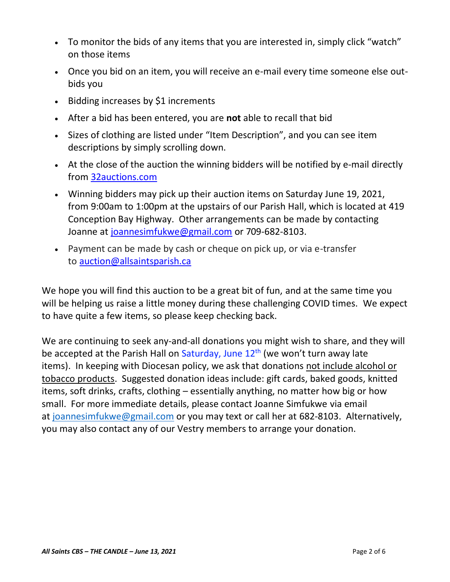- To monitor the bids of any items that you are interested in, simply click "watch" on those items
- Once you bid on an item, you will receive an e-mail every time someone else outbids you
- Bidding increases by \$1 increments
- After a bid has been entered, you are **not** able to recall that bid
- Sizes of clothing are listed under "Item Description", and you can see item descriptions by simply scrolling down.
- At the close of the auction the winning bidders will be notified by e-mail directly from [32auctions.com](http://32auctions.com/)
- Winning bidders may pick up their auction items on Saturday June 19, 2021, from 9:00am to 1:00pm at the upstairs of our Parish Hall, which is located at 419 Conception Bay Highway. Other arrangements can be made by contacting Joanne at [joannesimfukwe@gmail.com](mailto:joannesimfukwe@gmail.com) or 709-682-8103.
- Payment can be made by cash or cheque on pick up, or via e-transfer to [auction@allsaintsparish.ca](mailto:auction@allsaintsparish.ca)

We hope you will find this auction to be a great bit of fun, and at the same time you will be helping us raise a little money during these challenging COVID times. We expect to have quite a few items, so please keep checking back.

We are continuing to seek any-and-all donations you might wish to share, and they will be accepted at the Parish Hall on Saturday, June  $12<sup>th</sup>$  (we won't turn away late items). In keeping with Diocesan policy, we ask that donations not include alcohol or tobacco products. Suggested donation ideas include: gift cards, baked goods, knitted items, soft drinks, crafts, clothing – essentially anything, no matter how big or how small. For more immediate details, please contact Joanne Simfukwe via email at [joannesimfukwe@gmail.com](mailto:joannesimfukwe@gmail.com) or you may text or call her at 682-8103. Alternatively, you may also contact any of our Vestry members to arrange your donation.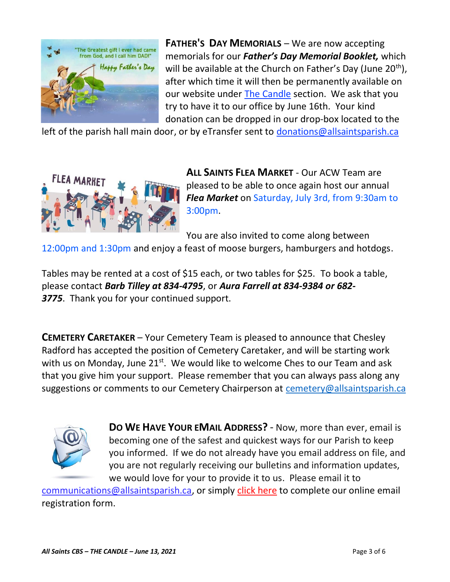

**FATHER'S DAY MEMORIALS** – We are now accepting memorials for our *Father's Day Memorial Booklet,* which will be available at the Church on Father's Day (June 20<sup>th</sup>), after which time it will then be permanently available on our website under [The Candle](http://allsaintsparish.ca/thecandle.html) section. We ask that you try to have it to our office by June 16th. Your kind donation can be dropped in our drop-box located to the

left of the parish hall main door, or by eTransfer sent to [donations@allsaintsparish.ca](mailto:donations@allsaintsparish.ca?subject=Father)



**ALL SAINTS FLEA MARKET** - Our ACW Team are pleased to be able to once again host our annual *Flea Market* on Saturday, July 3rd, from 9:30am to 3:00pm.

You are also invited to come along between

12:00pm and 1:30pm and enjoy a feast of moose burgers, hamburgers and hotdogs.

Tables may be rented at a cost of \$15 each, or two tables for \$25. To book a table, please contact *Barb Tilley at 834-4795*, or *Aura Farrell at 834-9384 or 682- 3775*. Thank you for your continued support.

**CEMETERY CARETAKER** – Your Cemetery Team is pleased to announce that Chesley Radford has accepted the position of Cemetery Caretaker, and will be starting work with us on Monday, June  $21^{st}$ . We would like to welcome Ches to our Team and ask that you give him your support. Please remember that you can always pass along any suggestions or comments to our Cemetery Chairperson at [cemetery@allsaintsparish.ca](mailto:cemetery@allsaintsparish.ca?subject=Cemetery%20Feedback%20Comments)



**DO WE HAVE YOUR EMAIL ADDRESS?** - Now, more than ever, email is becoming one of the safest and quickest ways for our Parish to keep you informed. If we do not already have you email address on file, and you are not regularly receiving our bulletins and information updates, we would love for your to provide it to us. Please email it to

[communications@allsaintsparish.ca,](mailto:communications@allsaintsparish.ca?subject=eMail%20Address%20Update) or simply [click here](http://allsaintsparish.ca/email_updates) to complete our online email registration form.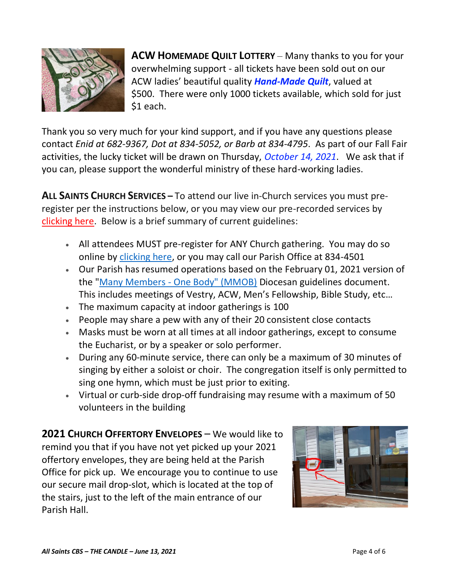

**ACW HOMEMADE QUILT LOTTERY** – Many thanks to you for your overwhelming support - all tickets have been sold out on our ACW ladies' beautiful quality *Hand-Made Quilt*, valued at \$500. There were only 1000 tickets available, which sold for just \$1 each.

Thank you so very much for your kind support, and if you have any questions please contact *Enid at 682-9367, Dot at 834-5052, or Barb at 834-4795*. As part of our Fall Fair activities, the lucky ticket will be drawn on Thursday, *October 14, 2021*. We ask that if you can, please support the wonderful ministry of these hard-working ladies.

**ALL SAINTS CHURCH SERVICES –** To attend our live in-Church services you must preregister per the instructions below, or you may view our pre-recorded services by [clicking here.](http://allsaintsparish.ca/recorded-church-services) Below is a brief summary of current guidelines:

- All attendees MUST pre-register for ANY Church gathering. You may do so online by [clicking here,](http://allsaintsparish.ca/covid-pre-registration-form) or you may call our Parish Office at 834-4501
- Our Parish has resumed operations based on the February 01, 2021 version of the "Many Members - [One Body" \(MMOB\)](https://anglicanenl.net/home/wp-content/uploads/2021/02/Many-Members-One-Body-February-2021.pdf) Diocesan guidelines document. This includes meetings of Vestry, ACW, Men's Fellowship, Bible Study, etc…
- The maximum capacity at indoor gatherings is 100
- People may share a pew with any of their 20 consistent close contacts
- Masks must be worn at all times at all indoor gatherings, except to consume the Eucharist, or by a speaker or solo performer.
- During any 60-minute service, there can only be a maximum of 30 minutes of singing by either a soloist or choir. The congregation itself is only permitted to sing one hymn, which must be just prior to exiting.
- Virtual or curb-side drop-off fundraising may resume with a maximum of 50 volunteers in the building

**2021 CHURCH OFFERTORY ENVELOPES** – We would like to remind you that if you have not yet picked up your 2021 offertory envelopes, they are being held at the Parish Office for pick up. We encourage you to continue to use our secure mail drop-slot, which is located at the top of the stairs, just to the left of the main entrance of our Parish Hall.

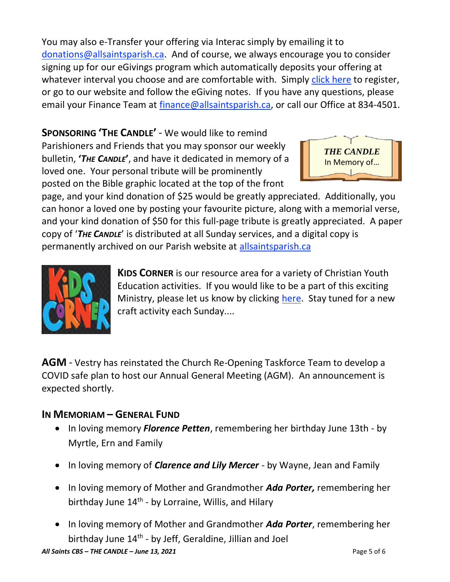You may also e-Transfer your offering via Interac simply by emailing it to [donations@allsaintsparish.ca.](mailto:donations@allsaintsparish.ca) And of course, we always encourage you to consider signing up for our eGivings program which automatically deposits your offering at whatever interval you choose and are comfortable with. Simply [click here](http://allsaintsparish.ca/egiving-online-information-form) to register, or go to our website and follow the eGiving notes. If you have [any](https://wfsites-to.websitecreatorprotool.com/870a5dd5.com/Admin/%7BSK_NODEID__22939341__SK%7D) questions, please email your Finance Team at [finance@allsaintsparish.ca,](mailto:finance@allsaintsparish.ca) or call our Office at 834-4501.

**SPONSORING 'THE CANDLE'** - We would like to remind Parishioners and Friends that you may sponsor our weekly bulletin, **'***THE CANDLE***'**, and have it dedicated in memory of a loved one. Your personal tribute will be prominently

posted on the Bible graphic located at the top of the front



page, and your kind donation of \$25 would be greatly appreciated. Additionally, you can honor a loved one by posting your favourite picture, along with a memorial verse, and your kind donation of \$50 for this full-page tribute is greatly appreciated. A paper copy of '*THE CANDLE*' is distributed at all Sunday services, and a digital copy is permanently archived on our Parish website at [allsaintsparish.ca](http://allsaintsparish.ca/thecandle.html)



**KIDS CORNER** is our resource area for a variety of Christian Youth Education activities. If you would like to be a part of this exciting Ministry, please let us know by clicking [here.](http://allsaintsparish.ca/index.html#comments) Stay tuned for a new craft activity each Sunday....

**AGM** - Vestry has reinstated the Church Re-Opening Taskforce Team to develop a COVID safe plan to host our Annual General Meeting (AGM). An announcement is expected shortly.

## **IN MEMORIAM – GENERAL FUND**

- In loving memory *Florence Petten*, remembering her birthday June 13th by Myrtle, Ern and Family
- In loving memory of *Clarence and Lily Mercer* by Wayne, Jean and Family
- In loving memory of Mother and Grandmother *Ada Porter,* remembering her birthday June 14<sup>th</sup> - by Lorraine, Willis, and Hilary
- In loving memory of Mother and Grandmother *Ada Porter*, remembering her birthday June 14<sup>th</sup> - by Jeff, Geraldine, Jillian and Joel